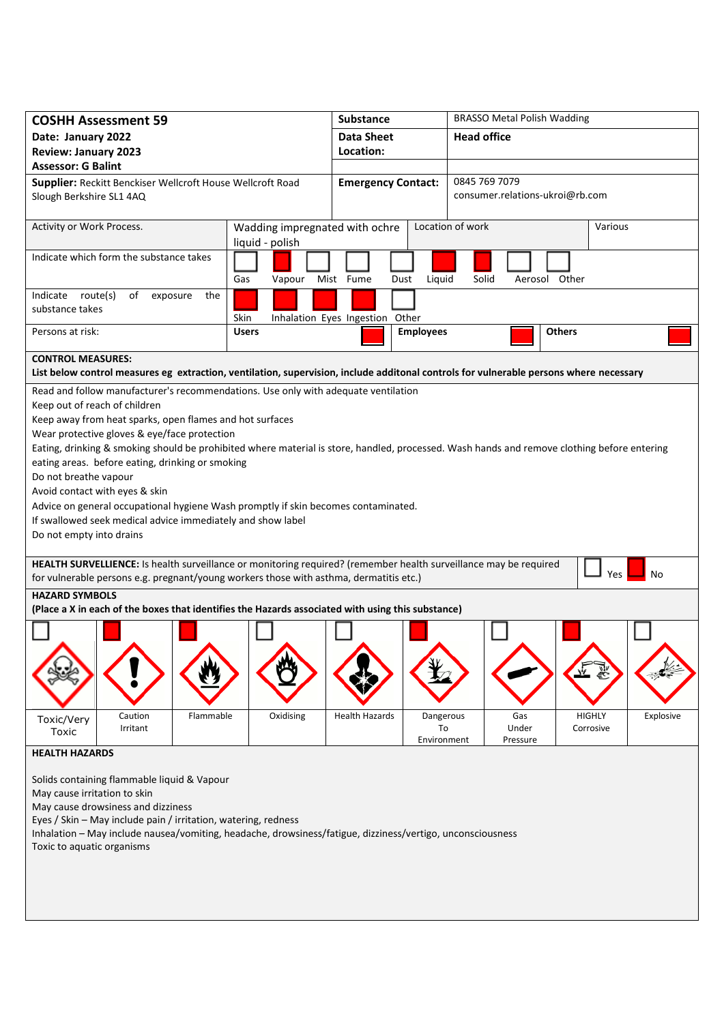| <b>COSHH Assessment 59</b>                                                                                                                                                                                               | <b>Substance</b>                                  |                                 | <b>BRASSO Metal Polish Wadding</b>               |                    |               |               |           |  |  |  |  |
|--------------------------------------------------------------------------------------------------------------------------------------------------------------------------------------------------------------------------|---------------------------------------------------|---------------------------------|--------------------------------------------------|--------------------|---------------|---------------|-----------|--|--|--|--|
| Date: January 2022                                                                                                                                                                                                       |                                                   | <b>Data Sheet</b>               |                                                  | <b>Head office</b> |               |               |           |  |  |  |  |
| <b>Review: January 2023</b>                                                                                                                                                                                              |                                                   | Location:                       |                                                  |                    |               |               |           |  |  |  |  |
| <b>Assessor: G Balint</b>                                                                                                                                                                                                |                                                   |                                 |                                                  |                    |               |               |           |  |  |  |  |
| Supplier: Reckitt Benckiser Wellcroft House Wellcroft Road<br>Slough Berkshire SL1 4AQ                                                                                                                                   | <b>Emergency Contact:</b>                         |                                 | 0845 769 7079<br>consumer.relations-ukroi@rb.com |                    |               |               |           |  |  |  |  |
| Activity or Work Process.                                                                                                                                                                                                | Wadding impregnated with ochre<br>liquid - polish |                                 |                                                  | Location of work   |               | Various       |           |  |  |  |  |
| Indicate which form the substance takes                                                                                                                                                                                  | Gas<br>Vapour                                     | Mist Fume<br>Dust               | Liquid                                           | Solid              | Aerosol Other |               |           |  |  |  |  |
| Indicate route(s)<br>of exposure<br>the<br>substance takes                                                                                                                                                               | Skin                                              | Inhalation Eyes Ingestion Other |                                                  |                    |               |               |           |  |  |  |  |
| Persons at risk:                                                                                                                                                                                                         | <b>Users</b>                                      |                                 | <b>Employees</b>                                 |                    | <b>Others</b> |               |           |  |  |  |  |
| <b>CONTROL MEASURES:</b><br>List below control measures eg extraction, ventilation, supervision, include additonal controls for vulnerable persons where necessary                                                       |                                                   |                                 |                                                  |                    |               |               |           |  |  |  |  |
| Read and follow manufacturer's recommendations. Use only with adequate ventilation                                                                                                                                       |                                                   |                                 |                                                  |                    |               |               |           |  |  |  |  |
| Keep out of reach of children                                                                                                                                                                                            |                                                   |                                 |                                                  |                    |               |               |           |  |  |  |  |
| Keep away from heat sparks, open flames and hot surfaces                                                                                                                                                                 |                                                   |                                 |                                                  |                    |               |               |           |  |  |  |  |
| Wear protective gloves & eye/face protection                                                                                                                                                                             |                                                   |                                 |                                                  |                    |               |               |           |  |  |  |  |
| Eating, drinking & smoking should be prohibited where material is store, handled, processed. Wash hands and remove clothing before entering                                                                              |                                                   |                                 |                                                  |                    |               |               |           |  |  |  |  |
| eating areas. before eating, drinking or smoking                                                                                                                                                                         |                                                   |                                 |                                                  |                    |               |               |           |  |  |  |  |
| Do not breathe vapour                                                                                                                                                                                                    |                                                   |                                 |                                                  |                    |               |               |           |  |  |  |  |
| Avoid contact with eyes & skin                                                                                                                                                                                           |                                                   |                                 |                                                  |                    |               |               |           |  |  |  |  |
| Advice on general occupational hygiene Wash promptly if skin becomes contaminated.                                                                                                                                       |                                                   |                                 |                                                  |                    |               |               |           |  |  |  |  |
| If swallowed seek medical advice immediately and show label                                                                                                                                                              |                                                   |                                 |                                                  |                    |               |               |           |  |  |  |  |
| Do not empty into drains                                                                                                                                                                                                 |                                                   |                                 |                                                  |                    |               |               |           |  |  |  |  |
|                                                                                                                                                                                                                          |                                                   |                                 |                                                  |                    |               |               |           |  |  |  |  |
| HEALTH SURVELLIENCE: Is health surveillance or monitoring required? (remember health surveillance may be required<br>Yes<br>No<br>for vulnerable persons e.g. pregnant/young workers those with asthma, dermatitis etc.) |                                                   |                                 |                                                  |                    |               |               |           |  |  |  |  |
| <b>HAZARD SYMBOLS</b>                                                                                                                                                                                                    |                                                   |                                 |                                                  |                    |               |               |           |  |  |  |  |
| (Place a X in each of the boxes that identifies the Hazards associated with using this substance)                                                                                                                        |                                                   |                                 |                                                  |                    |               |               |           |  |  |  |  |
|                                                                                                                                                                                                                          |                                                   |                                 |                                                  |                    |               |               |           |  |  |  |  |
|                                                                                                                                                                                                                          |                                                   |                                 |                                                  |                    |               |               |           |  |  |  |  |
|                                                                                                                                                                                                                          |                                                   |                                 |                                                  |                    |               |               |           |  |  |  |  |
|                                                                                                                                                                                                                          |                                                   |                                 |                                                  |                    |               |               |           |  |  |  |  |
|                                                                                                                                                                                                                          |                                                   |                                 |                                                  |                    |               |               |           |  |  |  |  |
| Flammable<br>Caution                                                                                                                                                                                                     | Oxidising                                         | <b>Health Hazards</b>           | Dangerous                                        | Gas                |               | <b>HIGHLY</b> | Explosive |  |  |  |  |
| Toxic/Very<br>Irritant<br>Toxic                                                                                                                                                                                          |                                                   |                                 | To                                               | Under              |               | Corrosive     |           |  |  |  |  |
|                                                                                                                                                                                                                          |                                                   |                                 | Environment                                      | Pressure           |               |               |           |  |  |  |  |
| <b>HEALTH HAZARDS</b>                                                                                                                                                                                                    |                                                   |                                 |                                                  |                    |               |               |           |  |  |  |  |
|                                                                                                                                                                                                                          |                                                   |                                 |                                                  |                    |               |               |           |  |  |  |  |
| Solids containing flammable liquid & Vapour                                                                                                                                                                              |                                                   |                                 |                                                  |                    |               |               |           |  |  |  |  |
| May cause irritation to skin<br>May cause drowsiness and dizziness                                                                                                                                                       |                                                   |                                 |                                                  |                    |               |               |           |  |  |  |  |
| Eyes / Skin – May include pain / irritation, watering, redness                                                                                                                                                           |                                                   |                                 |                                                  |                    |               |               |           |  |  |  |  |
| Inhalation - May include nausea/vomiting, headache, drowsiness/fatigue, dizziness/vertigo, unconsciousness                                                                                                               |                                                   |                                 |                                                  |                    |               |               |           |  |  |  |  |
| Toxic to aquatic organisms                                                                                                                                                                                               |                                                   |                                 |                                                  |                    |               |               |           |  |  |  |  |
|                                                                                                                                                                                                                          |                                                   |                                 |                                                  |                    |               |               |           |  |  |  |  |
|                                                                                                                                                                                                                          |                                                   |                                 |                                                  |                    |               |               |           |  |  |  |  |
|                                                                                                                                                                                                                          |                                                   |                                 |                                                  |                    |               |               |           |  |  |  |  |
|                                                                                                                                                                                                                          |                                                   |                                 |                                                  |                    |               |               |           |  |  |  |  |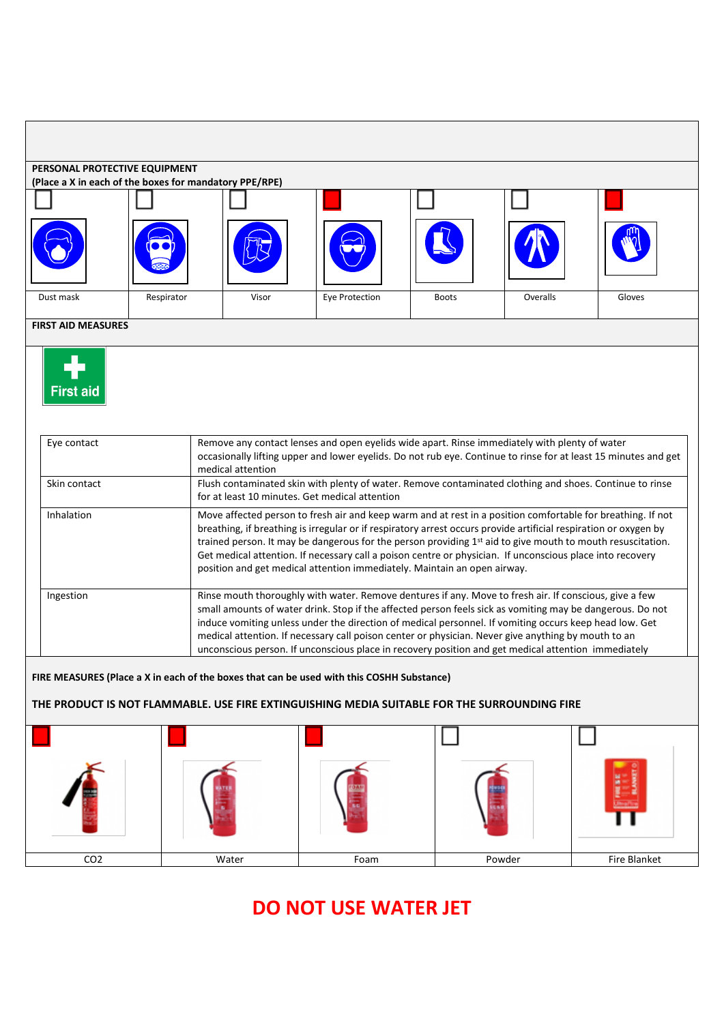| PERSONAL PROTECTIVE EQUIPMENT                                                                                                                                                             | (Place a X in each of the boxes for mandatory PPE/RPE) |                                                                                                                                                                                                                                                                                                                                                                                                                                                                                                                                             |                |              |                                                                                                                                                                                                                  |        |  |  |  |  |  |  |
|-------------------------------------------------------------------------------------------------------------------------------------------------------------------------------------------|--------------------------------------------------------|---------------------------------------------------------------------------------------------------------------------------------------------------------------------------------------------------------------------------------------------------------------------------------------------------------------------------------------------------------------------------------------------------------------------------------------------------------------------------------------------------------------------------------------------|----------------|--------------|------------------------------------------------------------------------------------------------------------------------------------------------------------------------------------------------------------------|--------|--|--|--|--|--|--|
|                                                                                                                                                                                           |                                                        |                                                                                                                                                                                                                                                                                                                                                                                                                                                                                                                                             |                |              |                                                                                                                                                                                                                  |        |  |  |  |  |  |  |
|                                                                                                                                                                                           |                                                        |                                                                                                                                                                                                                                                                                                                                                                                                                                                                                                                                             |                |              |                                                                                                                                                                                                                  |        |  |  |  |  |  |  |
| Dust mask                                                                                                                                                                                 | Respirator                                             | Visor                                                                                                                                                                                                                                                                                                                                                                                                                                                                                                                                       | Eye Protection | <b>Boots</b> | Overalls                                                                                                                                                                                                         | Gloves |  |  |  |  |  |  |
| <b>FIRST AID MEASURES</b>                                                                                                                                                                 |                                                        |                                                                                                                                                                                                                                                                                                                                                                                                                                                                                                                                             |                |              |                                                                                                                                                                                                                  |        |  |  |  |  |  |  |
| <b>First aid</b><br>Eye contact                                                                                                                                                           |                                                        |                                                                                                                                                                                                                                                                                                                                                                                                                                                                                                                                             |                |              | Remove any contact lenses and open eyelids wide apart. Rinse immediately with plenty of water<br>occasionally lifting upper and lower eyelids. Do not rub eye. Continue to rinse for at least 15 minutes and get |        |  |  |  |  |  |  |
| Skin contact                                                                                                                                                                              |                                                        | medical attention<br>Flush contaminated skin with plenty of water. Remove contaminated clothing and shoes. Continue to rinse                                                                                                                                                                                                                                                                                                                                                                                                                |                |              |                                                                                                                                                                                                                  |        |  |  |  |  |  |  |
|                                                                                                                                                                                           |                                                        | for at least 10 minutes. Get medical attention                                                                                                                                                                                                                                                                                                                                                                                                                                                                                              |                |              |                                                                                                                                                                                                                  |        |  |  |  |  |  |  |
| <b>Inhalation</b>                                                                                                                                                                         |                                                        | Move affected person to fresh air and keep warm and at rest in a position comfortable for breathing. If not<br>breathing, if breathing is irregular or if respiratory arrest occurs provide artificial respiration or oxygen by<br>trained person. It may be dangerous for the person providing 1st aid to give mouth to mouth resuscitation.<br>Get medical attention. If necessary call a poison centre or physician. If unconscious place into recovery<br>position and get medical attention immediately. Maintain an open airway.      |                |              |                                                                                                                                                                                                                  |        |  |  |  |  |  |  |
| Ingestion                                                                                                                                                                                 |                                                        | Rinse mouth thoroughly with water. Remove dentures if any. Move to fresh air. If conscious, give a few<br>small amounts of water drink. Stop if the affected person feels sick as vomiting may be dangerous. Do not<br>induce vomiting unless under the direction of medical personnel. If vomiting occurs keep head low. Get<br>medical attention. If necessary call poison center or physician. Never give anything by mouth to an<br>unconscious person. If unconscious place in recovery position and get medical attention immediately |                |              |                                                                                                                                                                                                                  |        |  |  |  |  |  |  |
| FIRE MEASURES (Place a X in each of the boxes that can be used with this COSHH Substance)<br>THE PRODUCT IS NOT FLAMMABLE. USE FIRE EXTINGUISHING MEDIA SUITABLE FOR THE SURROUNDING FIRE |                                                        |                                                                                                                                                                                                                                                                                                                                                                                                                                                                                                                                             |                |              |                                                                                                                                                                                                                  |        |  |  |  |  |  |  |
|                                                                                                                                                                                           |                                                        |                                                                                                                                                                                                                                                                                                                                                                                                                                                                                                                                             |                |              |                                                                                                                                                                                                                  |        |  |  |  |  |  |  |
|                                                                                                                                                                                           |                                                        |                                                                                                                                                                                                                                                                                                                                                                                                                                                                                                                                             |                |              |                                                                                                                                                                                                                  |        |  |  |  |  |  |  |

## **DO NOT USE WATER JET**

CO2 Water Foam Powder Fire Blanket